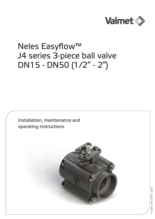

# Neles Easyflow™ J4 series 3-piece ball valve DN15 - DN50 (1/2" - 2")

Installation, maintenance and operating instructions

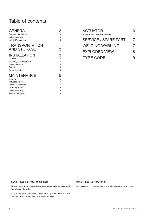# Table of contents

| <b>GENERAL</b>                              | 3 |
|---------------------------------------------|---|
| Scope of the Manual                         | 3 |
| Valve markings                              | 3 |
| <b>Safety Precautions</b>                   | 3 |
| <b>TRANSPORTATION</b><br><b>AND STORAGE</b> | 3 |
| <b>INSTALLATION</b>                         | 3 |
| General                                     | 3 |
| Installing in the Pipeline                  | 4 |
| Valve Insulation                            | 4 |
| Actuator                                    | 4 |
| Commissioning                               | 5 |
| <b>MAINTENANCE</b>                          | 5 |
| General                                     | 5 |
| <b>Actuated Valve</b>                       | 5 |
| Valve Disassembly                           | 5 |
| <b>Checking Parts</b>                       | 5 |
| Valve Assembly                              | 6 |
| Testing the Valve                           | 6 |

| <b>ACTUATOR</b><br><b>Actuator Mounting Instructions</b> |   |
|----------------------------------------------------------|---|
| <b>SERVICE / SPARE PART</b>                              | 7 |
| WELDING WARNING                                          |   |
| <b>EXPLODED VIEW</b>                                     | 8 |
| <b>TYPE CODE</b>                                         |   |

#### **READ THESE INSTRUCTIONS FIRST!**

These instructions provide information about safe handling and operation of the valve.

If you require additional assistance, please contact the manufacturer or manufacturer's representative.

### **SAVE THESE INSTRUCTIONS!**

Addresses and phone numbers are printed on the back cover.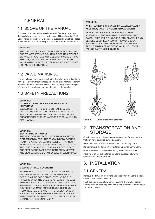# 1. GENERAL

### 1.1 SCOPE OF THE MANUAL

This instruction manual contains important information regarding the installation, operation and maintenance of Neles Easyflow™ J4 Series full or reduced bore 3-piece seat supported ball valves. Please read these instructions carefully and save them for future reference.

### **WARNING:**

THE USE OF THE VALVE IS APPLICATION SPECIFIC. BE SURE THAT THE VALVE IS SUITABLE FOR ITS INTENDED SERVICE. IF YOU HAVE ANY QUESTIONS CONCERNING THE USE, APPLICATION OR COMPATIBILITY OF THE VALVE WITH THE INTENDED SERVICE, CONTACT NELES FOR MORE INFORMATION.

### 1.2 VALVE MARKINGS

The valve has a name plate attached to the valve body or tied to the valve (for valves without flanges). The name plate markings identify the size, materials of construction, pressure rating, month and year of construction, and a unique manufacturing order number.

### 1.3 SAFETY PRECAUTIONS

### **WARNING:**

#### **DO NOT EXCEED THE VALVE PERFORMANCE LIMITATIONS!**

EXCEEDING THE PRESSURE OR TEMPERATURE LIMITATIONS MARKED ON THE VALVE LABEL PLATE MAY CAUSE DAMAGE AND LEAD TO UNCONTROLLED PRESSURE RELEASE. DAMAGE OR PERSONAL INJURY MAY RESULT.

#### **WARNING:**

#### **SEAT AND BODY RATINGS!**

THE PRACTICAL AND SAFE USE OF THIS PRODUCT IS DETERMINED BY BOTH THE SEAT AND BODY RATINGS. READ THE NAME PLATE AND CHECK BOTH RATINGS. SOME SEAT MATERIALS HAVE PRESSURE RATINGS THAT ARE LESS THAN THE BODY RATING. ALL OF THE BODY AND SEAT RATINGS ARE DEPENDENT ON VALVE TYPE AND SEAT MATERIAL. DO NOT EXCEED THESE RATINGS!

#### **WARNING:**

#### **BEWARE OF BALL MOVEMENT!**

KEEP HANDS, OTHER PARTS OF THE BODY, TOOLS AND OTHER OBJECTS OUT OF THE OPEN FLOW PORT. LEAVE NO FOREIGN OBJECTS INSIDE THE PIPELINE. WHEN THE VALVE IS ACTUATED, THE BALL FUNCTIONS AS A CUTTING DEVICE. DISCONNECT ANY PNEUMATIC SUPPLY LINES, ANY ELECTRICAL POWER SOURCES AND MAKE SURE SPRINGS IN SPRING-RETURN ACTUATORS ARE IN THE FULL EXTENDED/ RELAXED STATE BEFORE PERFORMING ANY VALVE MAINTENANCE. FAILURE TO DO THIS MAY RESULT IN DAMAGE OR PERSONAL INJURY!

### **WARNING:**

#### **WHEN HANDLING THE VALVE OR VALVE/ACTUATOR ASSEMBLY, TAKE ITS WEIGHT INTO ACCOUNT!**

NEVER LIFT THE VALVE OR VALVE/ACTUATOR ASSEMBLY BY THE ACTUATOR, POSITIONER, LIMIT SWITCH OR THEIR PIPING /BRACKETS. PLACE LIFTING DEVICES SECURELY AROUND THE VALVE BODY. FAILURE TO FOLLOW THESE INSTRUCTIONS MAY RESULT IN DAMAGE OR PERSONAL INJURY FROM FALLING PARTS (SEE **FIGURE 1**).



Figure 1. Lifting of the valve assembly

### 2. TRANSPORTATION AND STORAGE

Check the valve and the accompanying devices for any damage that may have occurred during transport.

Store the valve carefully. Store indoors in a cool, dry place.

Do not remove the flow port protectors until installing the valve.

Move the valve to its intended location just before installation.

If the valve(s) are to be stored for a long duration, follow the recommendations of IMO-S1.

### 3. INSTALLATION

### 3.1 GENERAL

Remove the flow port protectors and check that the valve is clean inside. Clean valve if necessary.

Flush the pipeline carefully before installing the valve. Foreign objects, such as sand or pieces of welding electrodes, will damage the ball and seats.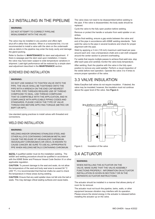### 3.2 INSTALLING IN THE PIPELINE

#### **WARNING:**

DO NOT ATTEMPT TO CORRECT PIPELINE MISALIGNMENT WITH THE VALVE!

The valve may be installed in any position and offers tight shut-off in either flow direction. When in a horizontal line, it is not recommended to install a valve with the stem on the underneath side as debris in the pipeline may enter the body cavity and damage the gland packing.

Refer to Section 4, **MAINTENANCE** for stem seal adjustment. If there is seepage past the stem seal upon installation, it means the valve may have been subject to wide temperature variations in shipment. Leak-tight performance will be restored by a simple stem seal adjustment described in the **MAINTENANCE** section.

### SCREWED END INSTALL ATION

### **WARNING:**

DO NOT USE HANDLE TO TIGHTEN VALVE ONTO THE PIPE. THE VALVE SHALL BE TIGHTENED ONTO THE PIPE WITH A WRENCH ON THE END CAP NEAREST THE PIPE. PIPE THREADS REQUIRE USE OF THREAD COMPOUND TO SEAL. USE THREAD COMPOUND THAT IS COMPATIBLE WITH THE APPLICATION, AND IN COMPLIANCE WITH APPLICABLE PIPING CODES AND STANDARDS. PLEASE CHECK THE TYPE OF VALVE THREAD END BEFORE APPLYING TORQUE (METRIC OR BSPT OR NPT).

Use standard piping practices to install valves with threaded end connections.

### WELD END INSTALL ATION

#### **WARNING:**

WELDING AND/OR GRINDING STAINLESS STEEL AND OTHER ALLOYS CONTAINING CHROMIUM METAL MAY CAUSE THE RELEASE OF HEXAVALENT CHROMIUM. HEXAVALENT CHROMIUM(VI) OR CR(VI), IS KNOWN TO CAUSE CANCER. BE SURE TO USE ALL APPROPRAITE PPE WHEN WELDING METALS CONTAINING CHROMIUM.

**NOTE:** A qualified welder must do the installation welding. The welder and welding procedure should be qualified in accordance with the ASME Boiler and Pressure Vessel Code Section IX or other applicable regulation.

**CAUTION:** To prevent damage to the seat and seals, do not allow the temperature of the seat and body seal area to exceed 94 °C (200 °F). It is recommended that thermal chalks be used to check the temperature in these areas during welding.

**CAUTION:** Ensure that any weld splatter does not fall onto the ball or seats. This may damage critical sealing surfaces and cause leaks.

The valve does not need to be disassembled before welding to the pipe. If the valve is disassembled, the body seals should be replaced.

Cycle the valve to the fully open position before welding.

Remove or protect the handle or actuator from weld splatter or arc strikes.

Before final welding, ensure a gap exists between the valve and end of the pipe in accordance with ASME welding standards. Tack weld the valve to the pipe in several locations and check for proper alignment with the pipe.

Weld by applying a 3 mm (1/8 inch) maximum weld bead per pass around each end. Use a temperature chalk and a wet cloth wrapped around the center section to prevent overheating.

For welds that require multiple passes to achieve final weld size, stop after each pass and carefully monitor the valve body temperature.

After welding, flush the pipeline with the valve in the fully open position to remove any weld splatter. Perform a visual inspection of the welds before next operation. Operate the valve 3 to 4 times to ensure proper operation of the valve.

### 3.3 VALVE INSULATION

Neles Easyflow ball valves do not require insulation. If desired, the valve may be insulated; however, the insulation must not continue above the upper level of the valve. See **Figure 2.**



Figure 2. Insulation of the valve

# 3.4 ACTUATOR

### **WARNING:**

WHEN INSTALLING THE ACTUATOR ON THE VALVE, MAKE SURE THAT THE VALVE ASSEMBLY FUNCTIONS PROPERLY. INFORMATION ON ACTUATOR INSTALLATION IS GIVEN IN SECTION 7 OR IN THE SEPARATE ACTUATOR INSTRUCTIONS.

The actuator should be installed in a manner that allows plenty of room for its removal.

The actuator must not touch the pipeline, tanks, walls, or other equipment because vibration may interfere with its operation. Please ensure the stored energy in the actuator is released before installing the actuator up on the valve.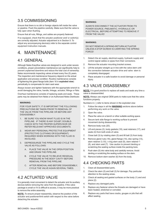### 3.5 COMMISSIONING

Ensure that there is no dirt or foreign objects left inside the valve or pipeline. Flush the pipeline carefully. Make sure that the valve is fully open when flushing.

Ensure that all nuts, fittings, and cables are properly fastened.

If so equipped, check that the actuator positioner and/ or switch(s) are correctly adjusted. Actuator adjustment is in Section 5. To adjust any accompanying device(s) refer to the separate control equipment instruction manuals.

# 4. MAINTENANCE

### 4.1 GENERAL

Although Neles Easyflow valves are designed to work under severe conditions, proper preventative maintenance can significantly help to prevent unplanned downtime and reduce the total cost of ownership. Neles recommends inspecting valves at least every five (5) years. The inspection and maintenance frequency depend on the actual application and process condition. Routine maintenance consists of tightening the gland flange bolts (item 16 in **exploded view**) periodically to compensate for stem seal wear.

Always loosen and tighten fasteners with the appropriate wrench to avoid damaging the valve, handle, linkage, actuator, fittings or flats.

Overhaul maintenance consists of replacing seats and seals. These parts may be obtained from Neles or an Authorized Neles Distributor.

#### **WARNING:**

FOR YOUR SAFETY, IT IS IMPORTANT THE FOLLOWING PRECAUTIONS BE TAKEN PRIOR TO REMOVAL OF THE VALVE FROM THE PIPELINE OR BEFORE ANY DISASSEMBLY:

- 1. BE SURE YOU KNOW WHAT FLUID IS IN THE PIPELINE. IF THERE IS ANY DOUBT, DOUBLE-CHECK WITH THE PROPER SUPERVISOR OR REFER RELEVANT APPROVED DOCUMENTS.
- 2. WEAR ANY PERSONAL PROTECTIVE EQUIPMENT (PROTECTIVE CLOTHING OR EQUIPMENT) REQUIRED WHEN WORKING WITH THE FLUID IS INVOLVED.
- 3. DEPRESSURIZE THE PIPELINE AND CYCLE THE VALVE AS FOLLOWS:
	- A. PLACE THE VALVE IN THE OPEN POSITION AND DRAIN THE PIPELINE.
	- B. CYCLE THE VALVE TO RELIEVE RESIDUAL PRESSURE IN THE BODY CAVITY BEFORE REMOVAL FROM THE PIPELINE
	- C. AFTER REMOVAL AND BEFORE DISASSEMBLY, CYCLE THE VALVE AGAIN SEVERAL TIMES.

# 4.2 ACTUATED VALVE

It is generally most convenient to detach the actuator and its auxiliary devices before removing the valve from the pipeline. If the valve package is small or if it is difficult to access, it may be more practical to remove the entire assembly.

**NOTE:** To ensure proper reassembly, observe the position of the actuator and positioner/limit switch with respect to the valve before detaching the actuator.

### **WARNING:**

ALWAYS DISCONNECT THE ACTUATOR FROM ITS POWER SOURCE, PNEUMATIC, HYDRAULIC OR ELECTRICAL, BEFORE ATTEMPTING TO REMOVE IT FROM THE VALVE!

#### **WARNING:**

DO NOT REMOVE A SPRING-RETURN ACTUATOR UNLESS A STOP-SCREW IS CARRYING THE SPRING **FORCE!** 

- 1. Detach the air supply, electrical supply, hydraulic supply and control signal cables or pipes from their connectors.
- 2. Remove the actuator mounting bracket screws.
- 3. Lift the actuator straight up in line with the valve stem until the connection between actuator drive and valve stem is completely disengaged.
- 4. Place actuator in a safe location to avoid damage or personal injury.

### 4.3 VALVE DISASSEMBLY

**NOTE:** It is good practice to replace all seats and seals any time a valve is disassembled.

**NOTE:** Always use original OEM parts to make sure that the valve functions properly.

Numbers in ( ) refer to items shown in the exploded view

- 1. Follow the steps in all the **WARNING** sections above before performing any work on the valve.
- 2. Open the valve.
- 3. Place the valve on a bench or other suitable working space.
- 4. Secure tank side flange to working surface to prevent movement during disassembly.
- 5. Remove body nuts (20).
- 6. Lift end pieces (2), body gaskets (18), seat retainers (17), and seats (4) from both ends of valve.
- 7. Close ball (3) by rotating stem (5) and lift ball (3) from body.
- 8. Remove gland nuts (16), gland flange (14), disc spring (13), stem retainer 2 (10), v-ring stem seal (9), stem retainer 1 (8), and stem seal (7). Use caution to prevent denting or scratching the sealing surface inside the packing bore.
- 9. Push stem (5) into valve body and carefully remove. Avoid denting or scratching the sealing surface on the stem.
- 10. Remove bottom stem washer (6) from the body.

### 4.4 CHECKING PARTS

- 1. Clean all disassembled parts.
- 2. Check the stem (5) and ball (3) for damage. Pay particular attention to the sealing areas.
- 3. Check all sealing and gasket surfaces on the body (1) and end piece (2).
- 4. Replace any damaged parts.
- 5. Replace any fastener where the threads are damaged or have been heated, stretched or corroded.
- 6. Replace any parts that have cracks, gouges or pits that will affect sealing.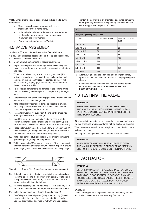**NOTE:** When ordering spare parts, always include the following information:

- a. Valve type code as per technical bulletin and model number from name plate,
- b. If the valve is serialized the serial number (stamped on the valve body or name plate) or applicable manufacturing order number,
- c. Spare part set number as per **Table 3**.

### 4.5 VALVE ASSEMBLY

Numbers in ( ) refer to items shown in the **Exploded view**. It is advisable to replace seats and seals if complete disassembly and reassembly become necessary.

- 1. Clean all valve components, if not previously done.
- 2. Inspect all components for damage before assembling the valve. Look for damage to the sealing areas on the ball, stem, and body.
- 3. With a brush, clean body studs (19) and gland stud (15) of foreign material such as paint, thread locker, grime and commodity. Inspect the threads for damage or defect with appropriate ring or plug gage. Repair any out-of-tolerance threads or replace in-kind.
- 4. Re-inspect all components for damage to the sealing areas, stem (5), body (1), and end piece (2). Replace any damaged parts.
- 5. Carefully clean and polish the ball (3) sealing surface: It should be free of all scratches and grooves.
- 6. If the ball is slightly damaged, it may be possible to smooth the sealing surface with crocus cloth or equivalent. If deep scratches are present, replace the ball.
- 7. Place stem washer (6) over stem (5) and gently press into place against shoulder on stem (5).
- 8. Insert the stem (5) into the body (1), being careful not to scratch the stem sealing surface; and press it gently up into the stem bore until resistance is felt from the stem washer (6).
- 9. Holding stem (5) in place from the bottom, insert stem seal (7), stem retainer 1 (8), v-ring stem seal (9), and stem retainer 2 (10) with both inner and outer o-rings (11) and (12).
- 10. Install disc springs (13) (see **Figure 3** for proper orientation), gland flange (14), and gland flange nuts (16).
- 11. Tighten gland nuts (16) evenly until stem seal (9) is compressed and then tighten an additional 1/4 turn. Visually inspect to ensure gland flange (14) is parallel with top of actuator mounting flange.



Figure 3. Proper Disc Spring Arrangement (uncompressed)

- 12. Rotate the stem (5) so the ball drive is in the closed position. Place the ball (3) into the body cavity by partially rotating and sliding the ball onto the stem (5). Make certain the stem is roughly in the middle of the ball slot.
- 13. Place the seats (4) and seat retainers (17) into the body (1) in the correct orientation so the proper surface contacts the ball.
- 14. Install the body gaskets (18) onto the end pieces (2).
- 15. Carefully place the end pieces (2) against the body (1) and loosely install the body studs (19) and nuts (20). Lightly lubricate stud threads and face of nut with anti-seize grease.

Tighten the body nuts in an alternating sequence across the body, gradually increasing the tightening torque in multiple steps to applicable torque from **Table 1.**

| Table 1                                |                       |                              |  |  |
|----------------------------------------|-----------------------|------------------------------|--|--|
| <b>Body Nut Tightening Torque, N.m</b> |                       |                              |  |  |
| Stud size                              | Carbon steel Grade B7 | Stainless steel Grade<br>B8M |  |  |
| 1/4 - 20 UNC                           | 15                    | 12                           |  |  |
| 5/16 - 18 UNC                          | 30                    | 25                           |  |  |
| $3/8 - 16$ UNC                         | 50                    | 40                           |  |  |
| $7/16 - 14$ UNC                        | 75                    | 65                           |  |  |
| 1/2 - 13 UNC                           | 120                   | 100                          |  |  |
| $9/16 - 12$ UNC                        | 160                   | 150                          |  |  |
| $5/8 - 11$ UNC                         | 230                   | 200                          |  |  |
| 3/4 - 10 UNC                           | 400                   | 370                          |  |  |
| $7/8 - 9$ UNC                          | 650                   | 500                          |  |  |

16. After fully tightening the stem seal and body joint flange, operate valve to verify smooth operation during opening and closing.

17. If the actuator was removed, reinstall and set the actuator stops as described in the **ACTUATOR MOUNTING INSTRUCTIONS** Section.

### 4.6 TESTING THE VALVE

#### **WARNING:**

WHEN PRESSURE TESTING, EXERCISE CAUTION AND MAKE SURE ALL EQUIPMENT USED IS IN GOOD WORKING CONDITION AND APPROPRIATE FOR THE INTENDED PRESSURE.

If the valve is to be tested prior to returning to service, make sure the test pressures are in accordance with an applicable standard.

When testing the valve for external tightness, keep the ball in the half open position.

If testing for seat tightness, please contact Neles for advice.

#### **WARNING:**

WHEN PERFORMING ANY TESTS, NEVER EXCEED THE MAXIMUM OPERATING PRESSURE OR MAXIMUM SHUT-OFF PRESSURE LISTED ON THE NAME PLATE.

# 5. ACTUATOR

### **WARNING:**

BEFORE INSTALLING THE VALVE AND ACTUATOR, BE SURE THAT THE INDICATOR POINTER ON TOP OF THE ACTUATOR IS CORRECTLY INDICATING THE VALVE POSITION. FAILURE TO ASSEMBLE THESE PRODUCTS TO INDICATE CORRECT VALVE POSITION COULD RESULT IN DAMAGE OR PERSONAL INJURY.

### **CAUTION:**

When installing or servicing a valve/ actuator assembly, the best practice is to remove the entire assembly from service.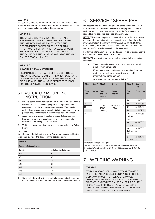### **CAUTION:**

An actuator should be remounted on the valve from which it was removed. The actuator must be checked and readjusted for proper open and close position each time it is remounted.

### **WARNING:**

THE VALVE BODY AND MOUNTING INTERFACE HAS BEEN DESIGNED TO SUPPORT THE WEIGHT AND OPERATION OF NELES ACTUATORS AND RECOMMENDED ACCESSORIES. USE OF THIS INTERFACE TO SUPPORT ADDITIONAL EQUIPMENT SUCH AS PEOPLE, LADDERS, ETC. MAY RESULT IN THE FAILURE OF THE VALVE OR ACTUATOR AND MAY CAUSE PERSONAL INJURY.

### **WARNING:**

### **BEWARE OF BALL MOVEMENT!**

KEEP HANDS, OTHER PARTS OF THE BODY, TOOLS AND OTHER OBJECTS OUT OF THE OPEN FLOW PORT. LEAVE NO FOREIGN OBJECTS INSIDE THE VALVE OR PIPELINE. WHEN THE VALVE IS OPERATED, THE BALL FUNCTIONS AS A CUTTING DEVICE.

### 5.1 ACTUATOR MOUNTING **INSTRUCTIONS**

- 1. When a spring-return actuator is being mounted, the valve should be in the closed position for spring-to-close operation or in the open position for the spring-to-open operation. When an electric or double-acting pneumatic actuator is being mounted, the valve position should correspond to the indicated actuator position.
- 2. Assemble actuator onto the valve, ensuring full engagement between the stem and actuator drive, and the actuator fully contacts the mounting face on the valve.
- 3. Tighten actuator mounting screws to the torque listed in **Table**  below.

### **CAUTION:**

Do not exceed the tightening torque. Applying excessive tightening torque can damage the threads in the actuator body.

| <b>TABLE 2</b>                    |                          |  |  |
|-----------------------------------|--------------------------|--|--|
| <b>Torque to Actuator bolting</b> |                          |  |  |
| <b>Bolt Size</b>                  | No Lubrication to Screws |  |  |
| mm                                | N.m                      |  |  |
| M <sub>6</sub>                    | 6.8                      |  |  |
| M <sub>8</sub>                    | 15                       |  |  |
| M10                               | 30                       |  |  |
| M12                               | 52                       |  |  |
| M16                               | 122                      |  |  |
| M20                               | 230                      |  |  |

<sup>4.</sup> Cycle actuator and verify proper ball position in both open and closed positions. Adjust the actuator travel stops as necessary.

# 6. SERVICE / SPARE PART

We recommend that valves be directed to Neles service centers for maintenance. The service centers are equipped to provide rapid turn-around at a reasonable cost and offer warranty for reconditioning based on condition of each valve.

**NOTE:** When sending goods to the service center for repair, do not disassemble them. Clean the valve carefully and flush the valve internals. Include the material safety datasheet(s) (MSDS) for all media flowing through the valve. Valves sent to the service center without MSDS datasheet(s) will not be accepted.

For further information on spare parts and service or assistance visit our web-site at **www.neles.com/products**.

**NOTE:** When ordering spare parts, always include the following information:

- a. Valve type code as per technical bulletin and model number from name plate,
- b. If the valve is serialized the serial number (stamped on the valve body or name plate) or applicable manufacturing order number,

| *Sign.1       | Sign.2         | Sign.3                               | *Sign.4                    | #Sign.5                  | Spare part<br>sets |
|---------------|----------------|--------------------------------------|----------------------------|--------------------------|--------------------|
| Valve<br>size | <b>Series</b>  | <b>Seat</b><br>and seal<br>materials | <b>O-Ring</b><br>material  | <b>Flow</b><br>bore      | <b>Type codes</b>  |
| 15            | J <sub>4</sub> | ZG                                   | 53                         | <b>NA</b>                | 15 J4ZG53          |
| 20            |                |                                      |                            | <b>NA</b>                | 20 J4ZG53          |
| 25            |                | (TFM™<br>1600/                       | (Fluoroelastomer<br>- FKM) | <b>NA</b>                | 25 J4ZG53          |
| 32            |                | Graphite)                            |                            | <b>NA</b>                | 32 J4ZG53          |
| 40            |                |                                      |                            | $A =$<br>Reduced<br>bore | 40 J4ZG53<br>A     |
|               |                |                                      |                            | $B =$<br>Full bore       | 40 J4ZG53<br>B     |
| 50            |                |                                      |                            | $A =$<br>Reduced<br>bore | 50 J4ZG53<br>A     |
|               |                |                                      |                            | $B =$<br>Full bore       | 50 J4ZG53<br>B     |

c. Spare part set number as per **Table 3**.

\* leave space after Sign.1 and Sign.4

NA – Not applicable (both full bore and reduced bore have same spare part set). # Sign.5 suffix A and B applicable for DN 40 and DN 50 valve sizes e.g. 25 J4ZG53, 40 J4ZG53 B, etc.

# 7. WELDING WARNING

### **WARNING:**

WELDING AND/OR GRINDING OF STAINLESS STEEL AND OTHER ALLOY STEELS CONTAINING CHROMIUM METAL MAY CAUSE THE RELEASE HEXAVALENT CHROMIUM. HEXAVALENT CHROMIUM, CHROMIUM(VI) OR CR(VI), IS KNOWN TO CAUSE CANCER. BE SURE TO USE ALL APPROPRIATE PPE WHEN WELDING METALS CONTAINING CHROMIUM. IF YOU HAVE ANY QUESTIONS CONSULT YOUR SUPERVISOR.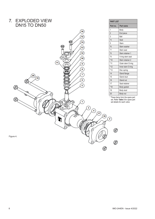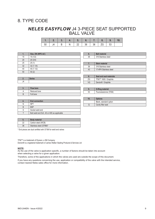# 8. TYPE CODE

### *NELES EASYFLOW* J4 3-PIECE SEAT SUPPORTED BALL VALVE

|  |  |  |  | 50   J4   B   N   22   36   36   ZG   53 |  |
|--|--|--|--|------------------------------------------|--|

| 1. | Size, DN (NPS ref.) |
|----|---------------------|
| 15 | 15(1/2)             |
| 20 | 20(3/4)             |
| 25 | 25(1)               |
| 32 | 32(11/4)            |
| 40 | 40 (1 1/2)          |
| 50 | 50(2)               |

| 6. | <b>Ball material</b> |
|----|----------------------|
| 36 | 316 Stainless steel  |
|    |                      |
|    |                      |
| 7. | <b>Stem material</b> |
| 36 | 316 Stainless steel  |

|    | Seat and seal materials        |
|----|--------------------------------|
| ΖG | TFM™ 1600 / Graphite           |
| VG | Devlon <sup>®</sup> / Graphite |

**9. O-Ring material** 53 Fluoroelastomer (FKM)

Q Cavity filler seat

| v. | Flow bore    |
|----|--------------|
| A  | Reduced bore |
| B  | Full bore    |

| 10. | <b>Options</b>         |
|-----|------------------------|
|     | Blank, standard option |

|   | <b>End connection</b>                      |
|---|--------------------------------------------|
| Ν | <b>NPT</b>                                 |
| R | <b>BSP</b>                                 |
| S | Socket weld end                            |
|   | Butt weld end Sch. 40 or 40S as applicable |

| IJ. | <b>Body material</b>    |
|-----|-------------------------|
| າາ  | Carbon steel (WCB)      |
| 36  | Stainless steel (CF8M)* |

\* End pieces are dual certified with CF3M for weld end valves

TFM™ is a trademark of Dyneon, a 3M Company

Devlon® is a registered trademark of James Walker Sealing Products & Services Ltd

#### **NOTE:**

As the use of the valve is application specific, a number of factors should be taken into account when selecting a valve for a given application.

Therefore, some of the applications in which the valves are used are outside the scope of this document.

If you have any questions concerning the use, application or compatibility of the valve with the intended service, contact nearest Neles sales office for more information.